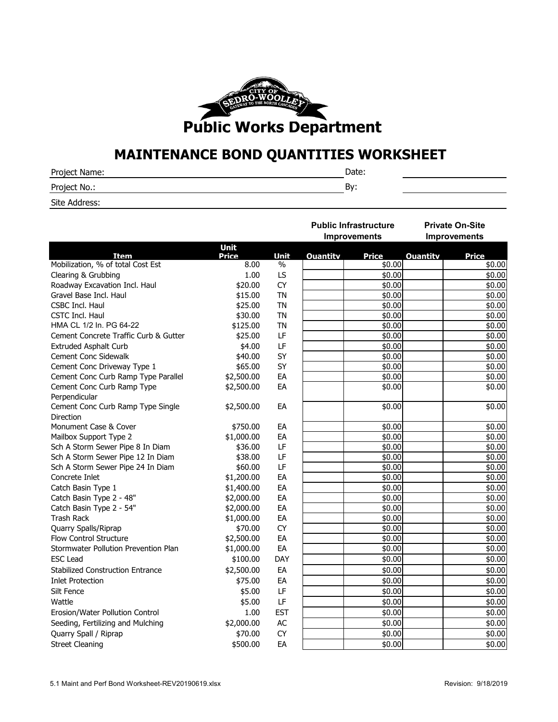

## **MAINTENANCE BOND QUANTITIES WORKSHEET**

| Project Name: |         |
|---------------|---------|
| Project No.:  | o<br>Dν |

Site Address:

| <b>Improvements</b><br><b>Improvements</b><br><b>Unit</b><br><b>Item</b><br>Price<br><b>Unit</b><br><b>Ouantity</b><br><b>Price</b><br><b>Ouantity</b><br><b>Price</b><br>Mobilization, % of total Cost Est<br>\$0.00<br>8.00<br>$\%$<br>\$0.00<br>Clearing & Grubbing<br>1.00<br>LS<br>\$20.00<br>\$0.00<br>Roadway Excavation Incl. Haul<br><b>CY</b><br>\$0.00<br>Gravel Base Incl. Haul<br>\$15.00<br><b>TN</b><br>\$0.00<br>\$25.00<br><b>TN</b><br><b>CSBC Incl. Haul</b> |  |  | <b>Public Infrastructure</b> |  | <b>Private On-Site</b> |  |
|---------------------------------------------------------------------------------------------------------------------------------------------------------------------------------------------------------------------------------------------------------------------------------------------------------------------------------------------------------------------------------------------------------------------------------------------------------------------------------|--|--|------------------------------|--|------------------------|--|
|                                                                                                                                                                                                                                                                                                                                                                                                                                                                                 |  |  |                              |  |                        |  |
|                                                                                                                                                                                                                                                                                                                                                                                                                                                                                 |  |  |                              |  |                        |  |
|                                                                                                                                                                                                                                                                                                                                                                                                                                                                                 |  |  |                              |  | \$0.00                 |  |
|                                                                                                                                                                                                                                                                                                                                                                                                                                                                                 |  |  |                              |  | \$0.00                 |  |
|                                                                                                                                                                                                                                                                                                                                                                                                                                                                                 |  |  |                              |  | \$0.00                 |  |
|                                                                                                                                                                                                                                                                                                                                                                                                                                                                                 |  |  |                              |  | \$0.00                 |  |
|                                                                                                                                                                                                                                                                                                                                                                                                                                                                                 |  |  |                              |  | \$0.00                 |  |
| \$0.00<br><b>CSTC Incl. Haul</b><br>\$30.00<br><b>TN</b>                                                                                                                                                                                                                                                                                                                                                                                                                        |  |  |                              |  | \$0.00                 |  |
| HMA CL 1/2 In. PG 64-22<br>\$125.00<br><b>TN</b><br>\$0.00                                                                                                                                                                                                                                                                                                                                                                                                                      |  |  |                              |  | \$0.00                 |  |
| LF<br>\$0.00<br>Cement Concrete Traffic Curb & Gutter<br>\$25.00                                                                                                                                                                                                                                                                                                                                                                                                                |  |  |                              |  | \$0.00                 |  |
| LF<br>\$0.00<br><b>Extruded Asphalt Curb</b><br>\$4.00                                                                                                                                                                                                                                                                                                                                                                                                                          |  |  |                              |  | \$0.00                 |  |
| <b>SY</b><br>\$0.00<br>\$40.00<br><b>Cement Conc Sidewalk</b>                                                                                                                                                                                                                                                                                                                                                                                                                   |  |  |                              |  | \$0.00                 |  |
| SY<br>\$0.00<br>\$65.00<br>Cement Conc Driveway Type 1                                                                                                                                                                                                                                                                                                                                                                                                                          |  |  |                              |  | \$0.00                 |  |
| \$0.00<br>Cement Conc Curb Ramp Type Parallel<br>\$2,500.00<br>EA                                                                                                                                                                                                                                                                                                                                                                                                               |  |  |                              |  | \$0.00                 |  |
| EA<br>\$0.00<br>Cement Conc Curb Ramp Type<br>\$2,500.00                                                                                                                                                                                                                                                                                                                                                                                                                        |  |  |                              |  | \$0.00                 |  |
| Perpendicular                                                                                                                                                                                                                                                                                                                                                                                                                                                                   |  |  |                              |  |                        |  |
| \$0.00<br>Cement Conc Curb Ramp Type Single<br>\$2,500.00<br>EA<br>Direction                                                                                                                                                                                                                                                                                                                                                                                                    |  |  |                              |  | $\overline{$}0.00$     |  |
| \$0.00<br>\$750.00<br>Monument Case & Cover<br>EA                                                                                                                                                                                                                                                                                                                                                                                                                               |  |  |                              |  | \$0.00                 |  |
| \$1,000.00<br>\$0.00<br>Mailbox Support Type 2<br>EA                                                                                                                                                                                                                                                                                                                                                                                                                            |  |  |                              |  | \$0.00                 |  |
| Sch A Storm Sewer Pipe 8 In Diam<br>\$36.00<br>LF<br>\$0.00                                                                                                                                                                                                                                                                                                                                                                                                                     |  |  |                              |  | \$0.00                 |  |
| LF<br>\$38.00<br>\$0.00<br>Sch A Storm Sewer Pipe 12 In Diam                                                                                                                                                                                                                                                                                                                                                                                                                    |  |  |                              |  | \$0.00                 |  |
| LF<br>\$0.00<br>Sch A Storm Sewer Pipe 24 In Diam<br>\$60.00                                                                                                                                                                                                                                                                                                                                                                                                                    |  |  |                              |  | \$0.00                 |  |
| \$0.00<br>Concrete Inlet<br>\$1,200.00<br>EA                                                                                                                                                                                                                                                                                                                                                                                                                                    |  |  |                              |  | \$0.00                 |  |
| \$1,400.00<br>EA<br>\$0.00<br>Catch Basin Type 1                                                                                                                                                                                                                                                                                                                                                                                                                                |  |  |                              |  | \$0.00                 |  |
| Catch Basin Type 2 - 48"<br>EA<br>\$0.00<br>\$2,000.00                                                                                                                                                                                                                                                                                                                                                                                                                          |  |  |                              |  | \$0.00                 |  |
| EA<br>\$0.00<br>Catch Basin Type 2 - 54"<br>\$2,000.00                                                                                                                                                                                                                                                                                                                                                                                                                          |  |  |                              |  | \$0.00                 |  |
| \$0.00<br><b>Trash Rack</b><br>\$1,000.00<br>EA                                                                                                                                                                                                                                                                                                                                                                                                                                 |  |  |                              |  | $\frac{1}{2}0.00$      |  |
| \$0.00<br>Quarry Spalls/Riprap<br>\$70.00<br><b>CY</b>                                                                                                                                                                                                                                                                                                                                                                                                                          |  |  |                              |  | $\frac{1}{60.00}$      |  |
| EA<br>\$0.00<br><b>Flow Control Structure</b><br>\$2,500.00                                                                                                                                                                                                                                                                                                                                                                                                                     |  |  |                              |  | \$0.00                 |  |
| \$0.00<br>Stormwater Pollution Prevention Plan<br>\$1,000.00<br>EA                                                                                                                                                                                                                                                                                                                                                                                                              |  |  |                              |  | $\frac{1}{5}0.00$      |  |
| \$0.00<br><b>ESC Lead</b><br>\$100.00<br>DAY                                                                                                                                                                                                                                                                                                                                                                                                                                    |  |  |                              |  | \$0.00                 |  |
| \$0.00<br>\$2,500.00<br><b>Stabilized Construction Entrance</b><br>EA                                                                                                                                                                                                                                                                                                                                                                                                           |  |  |                              |  | \$0.00                 |  |
| \$0.00<br><b>Inlet Protection</b><br>\$75.00<br>EA                                                                                                                                                                                                                                                                                                                                                                                                                              |  |  |                              |  | \$0.00                 |  |
| Silt Fence<br>\$5.00<br>LF<br>\$0.00                                                                                                                                                                                                                                                                                                                                                                                                                                            |  |  |                              |  | \$0.00                 |  |
| LF<br>\$0.00<br>Wattle<br>\$5.00                                                                                                                                                                                                                                                                                                                                                                                                                                                |  |  |                              |  | \$0.00                 |  |
| 1.00<br>\$0.00<br>Erosion/Water Pollution Control<br><b>EST</b>                                                                                                                                                                                                                                                                                                                                                                                                                 |  |  |                              |  | \$0.00                 |  |
| Seeding, Fertilizing and Mulching<br>\$2,000.00<br>AC<br>\$0.00                                                                                                                                                                                                                                                                                                                                                                                                                 |  |  |                              |  | \$0.00                 |  |
| \$0.00<br>\$70.00<br><b>CY</b><br>Quarry Spall / Riprap                                                                                                                                                                                                                                                                                                                                                                                                                         |  |  |                              |  | \$0.00                 |  |
| \$0.00<br><b>Street Cleaning</b><br>\$500.00<br>EA                                                                                                                                                                                                                                                                                                                                                                                                                              |  |  |                              |  | \$0.00                 |  |